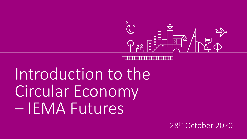

# Introduction to the Circular Economy – IEMA Futures

28th October 2020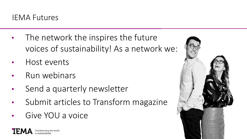

- The network the inspires the future voices of sustainability! As a network we:
- Host events
- Run webinars
- Send a quarterly newsletter
- Submit articles to Transform magazine
- Give YOU a voice

•Transforming the world

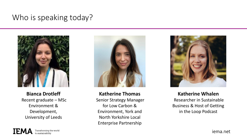### Who is speaking today?



**Bianca Drotleff** Recent graduate – MSc Environment & Development, University of Leeds



**Katherine Thomas** Senior Strategy Manager for Low Carbon & Environment, York and North Yorkshire Local Enterprise Partnership



**Katherine Whalen** Researcher in Sustainable Business & Host of Getting in the Loop Podcast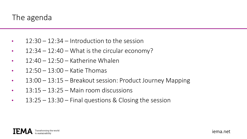### The agenda

- $\cdot$  12:30 12:34 Introduction to the session
- $12:34 12:40 What$  is the circular economy?
- $\cdot$  12:40 12:50 Katherine Whalen
- $12:50 13:00 -$  Katie Thomas
- 13:00 13:15 Breakout session: Product Journey Mapping
- $\cdot$  13:15 13:25 Main room discussions
- $\cdot$  13:25 13:30 Final questions & Closing the session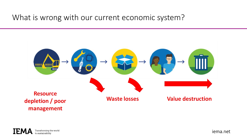### What is wrong with our current economic system?

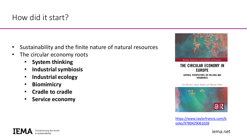- Sustainability and the finite nature of natural resources
- The circular economy roots
	- **System thinking**
	- **Industrial symbiosis**
	- **Industrial ecology**
	- **Biomimicry**
	- **Cradle to cradle**
	- **Service economy**



THE CIRCULAR ECONOMY IN **EUROPE** CRITICAL PERSPECTIVES ON POLICIES AND **IMAGINARIES** 

Zora Kovacic, Roger Strand and Thomas Völker



[https://www.taylorfrancis.com/b](https://www.taylorfrancis.com/books/9780429061028) ooks/9780429061028

IFM Transforming the world

iema.net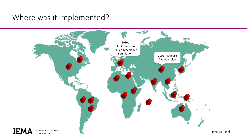### Where was it implemented?

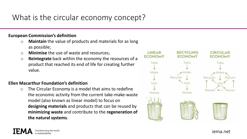### What is the circular economy concept?

#### **European Commission's definition**

- o **Maintain** the value of products and materials for as long as possible;
- o **Minimise** the use of waste and resources;
- o **Reintegrate** back within the economy the resources of a product that reached its end of life for creating further value.

#### **Ellen Macarthur Foundation's definition**

o The Circular Economy is a model that aims to redefine the economic activity from the current take-make-waste model (also known as linear model) to focus on **designing materials** and products that can be reused by **minimizing waste** and contribute to the **regeneration of the natural systems**.

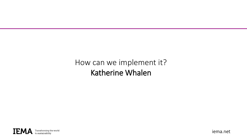### How can we implement it? Katherine Whalen

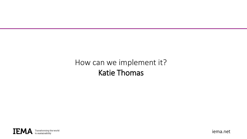### How can we implement it? Katie Thomas

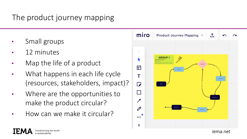### The product journey mapping

- Small groups
- 12 minutes
- Map the life of a product
- What happens in each life cycle (resources, stakeholders, impact)?
- Where are the opportunities to make the product circular?
- How can we make it circular?

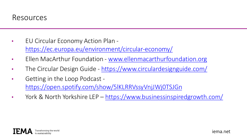- EU Circular Economy Action Plan <https://ec.europa.eu/environment/circular-economy/>
- Ellen MacArthur Foundation [www.ellenmacarthurfoundation.org](http://www.ellenmacarthurfoundation.org/)
- The Circular Design Guide <https://www.circulardesignguide.com/>
- Getting in the Loop Podcast <https://open.spotify.com/show/5lKLRRVssyVnjJWj0TSJGn>
- York & North Yorkshire LEP <https://www.businessinspiredgrowth.com/>